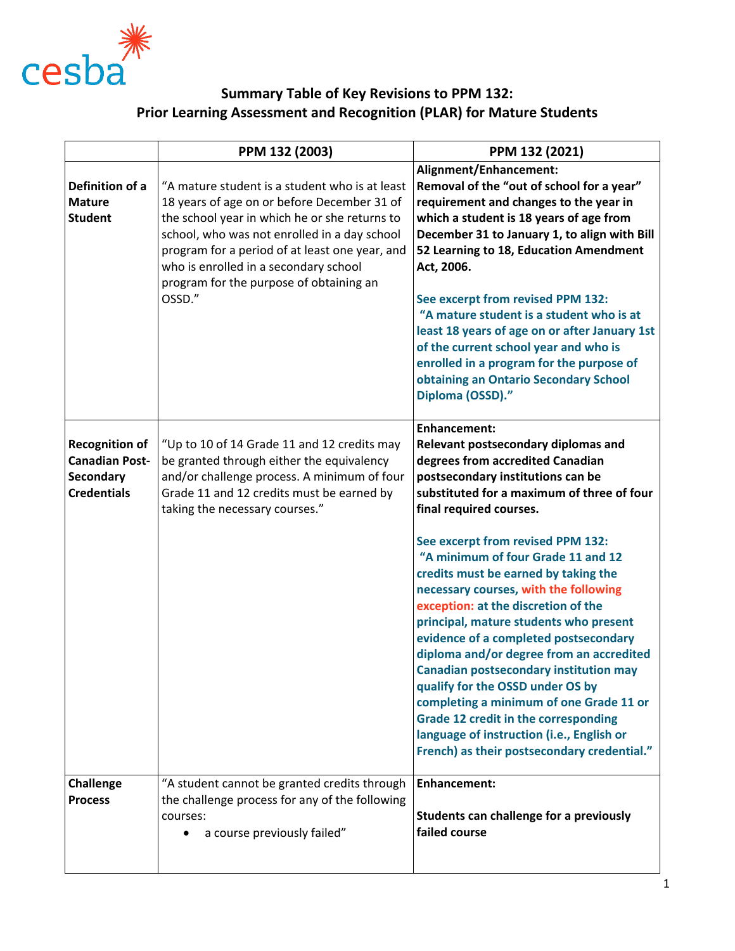

## **Summary Table of Key Revisions to PPM 132: Prior Learning Assessment and Recognition (PLAR) for Mature Students**

|                                                                                   | PPM 132 (2003)                                                                                                                                                                                                                                                                                                                                 | PPM 132 (2021)                                                                                                                                                                                                                                                                                                                                                                                                                                                                                                                                                                                                                                                                 |
|-----------------------------------------------------------------------------------|------------------------------------------------------------------------------------------------------------------------------------------------------------------------------------------------------------------------------------------------------------------------------------------------------------------------------------------------|--------------------------------------------------------------------------------------------------------------------------------------------------------------------------------------------------------------------------------------------------------------------------------------------------------------------------------------------------------------------------------------------------------------------------------------------------------------------------------------------------------------------------------------------------------------------------------------------------------------------------------------------------------------------------------|
| Definition of a<br><b>Mature</b><br><b>Student</b>                                | "A mature student is a student who is at least<br>18 years of age on or before December 31 of<br>the school year in which he or she returns to<br>school, who was not enrolled in a day school<br>program for a period of at least one year, and<br>who is enrolled in a secondary school<br>program for the purpose of obtaining an<br>OSSD." | Alignment/Enhancement:<br>Removal of the "out of school for a year"<br>requirement and changes to the year in<br>which a student is 18 years of age from<br>December 31 to January 1, to align with Bill<br>52 Learning to 18, Education Amendment<br>Act, 2006.<br>See excerpt from revised PPM 132:<br>"A mature student is a student who is at<br>least 18 years of age on or after January 1st<br>of the current school year and who is<br>enrolled in a program for the purpose of<br>obtaining an Ontario Secondary School<br>Diploma (OSSD)."                                                                                                                           |
| <b>Recognition of</b><br><b>Canadian Post-</b><br>Secondary<br><b>Credentials</b> | "Up to 10 of 14 Grade 11 and 12 credits may<br>be granted through either the equivalency<br>and/or challenge process. A minimum of four<br>Grade 11 and 12 credits must be earned by<br>taking the necessary courses."                                                                                                                         | <b>Enhancement:</b><br>Relevant postsecondary diplomas and<br>degrees from accredited Canadian<br>postsecondary institutions can be<br>substituted for a maximum of three of four<br>final required courses.<br>See excerpt from revised PPM 132:<br>"A minimum of four Grade 11 and 12<br>credits must be earned by taking the<br>necessary courses, with the following<br>exception: at the discretion of the<br>principal, mature students who present<br>evidence of a completed postsecondary<br>diploma and/or degree from an accredited<br><b>Canadian postsecondary institution may</b><br>qualify for the OSSD under OS by<br>completing a minimum of one Grade 11 or |
|                                                                                   |                                                                                                                                                                                                                                                                                                                                                | <b>Grade 12 credit in the corresponding</b><br>language of instruction (i.e., English or<br>French) as their postsecondary credential."                                                                                                                                                                                                                                                                                                                                                                                                                                                                                                                                        |
| <b>Challenge</b><br><b>Process</b>                                                | "A student cannot be granted credits through<br>the challenge process for any of the following<br>courses:<br>a course previously failed"                                                                                                                                                                                                      | Enhancement:<br>Students can challenge for a previously<br>failed course                                                                                                                                                                                                                                                                                                                                                                                                                                                                                                                                                                                                       |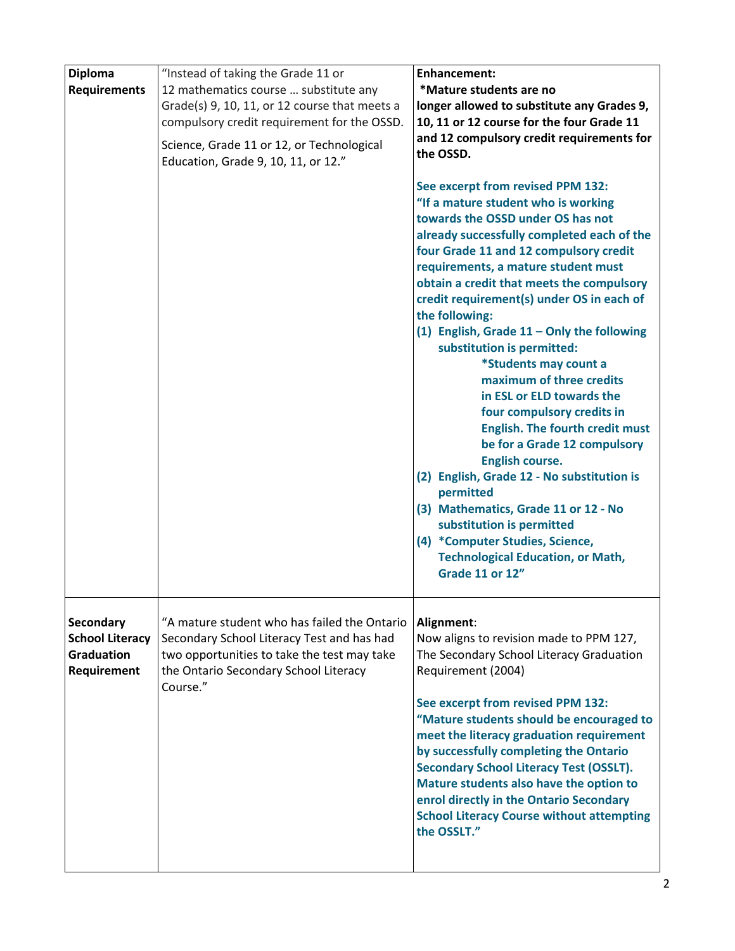| <b>Diploma</b>                                                          | "Instead of taking the Grade 11 or                                                                                                                                                             | <b>Enhancement:</b>                                                                                                                                                                                                                                                                                                                                                                                                                                                                                                                                                                                                                                                                                                                                                                                                                                                                                 |
|-------------------------------------------------------------------------|------------------------------------------------------------------------------------------------------------------------------------------------------------------------------------------------|-----------------------------------------------------------------------------------------------------------------------------------------------------------------------------------------------------------------------------------------------------------------------------------------------------------------------------------------------------------------------------------------------------------------------------------------------------------------------------------------------------------------------------------------------------------------------------------------------------------------------------------------------------------------------------------------------------------------------------------------------------------------------------------------------------------------------------------------------------------------------------------------------------|
| <b>Requirements</b>                                                     | 12 mathematics course  substitute any<br>Grade(s) 9, 10, 11, or 12 course that meets a                                                                                                         | *Mature students are no<br>longer allowed to substitute any Grades 9,                                                                                                                                                                                                                                                                                                                                                                                                                                                                                                                                                                                                                                                                                                                                                                                                                               |
|                                                                         | compulsory credit requirement for the OSSD.                                                                                                                                                    | 10, 11 or 12 course for the four Grade 11                                                                                                                                                                                                                                                                                                                                                                                                                                                                                                                                                                                                                                                                                                                                                                                                                                                           |
|                                                                         | Science, Grade 11 or 12, or Technological<br>Education, Grade 9, 10, 11, or 12."                                                                                                               | and 12 compulsory credit requirements for<br>the OSSD.                                                                                                                                                                                                                                                                                                                                                                                                                                                                                                                                                                                                                                                                                                                                                                                                                                              |
|                                                                         |                                                                                                                                                                                                | See excerpt from revised PPM 132:<br>"If a mature student who is working<br>towards the OSSD under OS has not<br>already successfully completed each of the<br>four Grade 11 and 12 compulsory credit<br>requirements, a mature student must<br>obtain a credit that meets the compulsory<br>credit requirement(s) under OS in each of<br>the following:<br>(1) English, Grade $11 -$ Only the following<br>substitution is permitted:<br>*Students may count a<br>maximum of three credits<br>in ESL or ELD towards the<br>four compulsory credits in<br><b>English. The fourth credit must</b><br>be for a Grade 12 compulsory<br><b>English course.</b><br>(2) English, Grade 12 - No substitution is<br>permitted<br>(3) Mathematics, Grade 11 or 12 - No<br>substitution is permitted<br>(4) *Computer Studies, Science,<br><b>Technological Education, or Math,</b><br><b>Grade 11 or 12"</b> |
| Secondary<br><b>School Literacy</b><br><b>Graduation</b><br>Requirement | "A mature student who has failed the Ontario<br>Secondary School Literacy Test and has had<br>two opportunities to take the test may take<br>the Ontario Secondary School Literacy<br>Course." | Alignment:<br>Now aligns to revision made to PPM 127,<br>The Secondary School Literacy Graduation<br>Requirement (2004)<br>See excerpt from revised PPM 132:<br>"Mature students should be encouraged to<br>meet the literacy graduation requirement<br>by successfully completing the Ontario<br><b>Secondary School Literacy Test (OSSLT).</b><br>Mature students also have the option to<br>enrol directly in the Ontario Secondary<br><b>School Literacy Course without attempting</b><br>the OSSLT."                                                                                                                                                                                                                                                                                                                                                                                           |